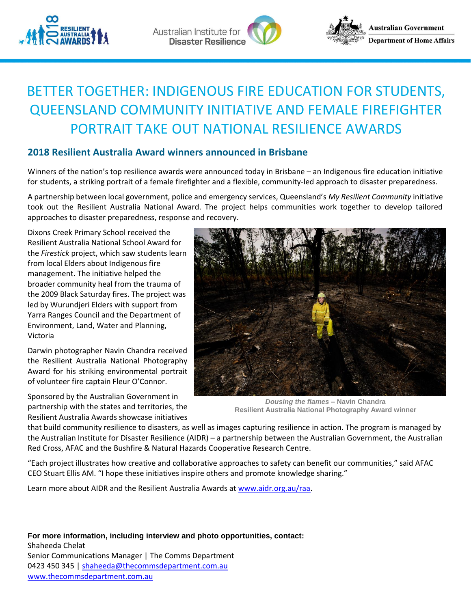







# BETTER TOGETHER: INDIGENOUS FIRE EDUCATION FOR STUDENTS, QUEENSLAND COMMUNITY INITIATIVE AND FEMALE FIREFIGHTER PORTRAIT TAKE OUT NATIONAL RESILIENCE AWARDS

# **2018 Resilient Australia Award winners announced in Brisbane**

Winners of the nation's top resilience awards were announced today in Brisbane – an Indigenous fire education initiative for students, a striking portrait of a female firefighter and a flexible, community-led approach to disaster preparedness.

A partnership between local government, police and emergency services, Queensland's *My Resilient Community* initiative took out the Resilient Australia National Award. The project helps communities work together to develop tailored approaches to disaster preparedness, response and recovery.

Dixons Creek Primary School received the Resilient Australia National School Award for the *Firestick* project, which saw students learn from local Elders about Indigenous fire management. The initiative helped the broader community heal from the trauma of the 2009 Black Saturday fires. The project was led by Wurundjeri Elders with support from Yarra Ranges Council and the Department of Environment, Land, Water and Planning, Victoria

Darwin photographer Navin Chandra received the Resilient Australia National Photography Award for his striking environmental portrait of volunteer fire captain Fleur O'Connor.

Sponsored by the Australian Government in partnership with the states and territories, the Resilient Australia Awards showcase initiatives



*Dousing the flames –* **Navin Chandra Resilient Australia National Photography Award winner**

that build community resilience to disasters, as well as images capturing resilience in action. The program is managed by the Australian Institute for Disaster Resilience (AIDR) – a partnership between the Australian Government, the Australian Red Cross, AFAC and the Bushfire & Natural Hazards Cooperative Research Centre.

"Each project illustrates how creative and collaborative approaches to safety can benefit our communities," said AFAC CEO Stuart Ellis AM. "I hope these initiatives inspire others and promote knowledge sharing."

Learn more about AIDR and the Resilient Australia Awards at [www.aidr.org.au/raa.](www.aidr.org.au/raa)

**For more information, including interview and photo opportunities, contact:** Shaheeda Chelat Senior Communications Manager | The Comms Department 0423 450 345 | [shaheeda@thecommsdepartment.com.au](mailto:shaheeda@thecommsdepartment.com.au) [www.thecommsdepartment.com.au](https://apac01.safelinks.protection.outlook.com/?url=http%3A%2F%2Fwww.thecommsdepartment.com.au%2F&data=02%7C01%7Ccommunications%40aidr.org.au%7Cc105e01413424c31050a08d64075aa4a%7C0401596a2b9f4919a6dd4b372739f5fb%7C0%7C0%7C636767272432124578&sdata=jz%2B8J2biNfrRaXPbj8evgLaxfw86GtvwroBM%2FBptTO8%3D&reserved=0)